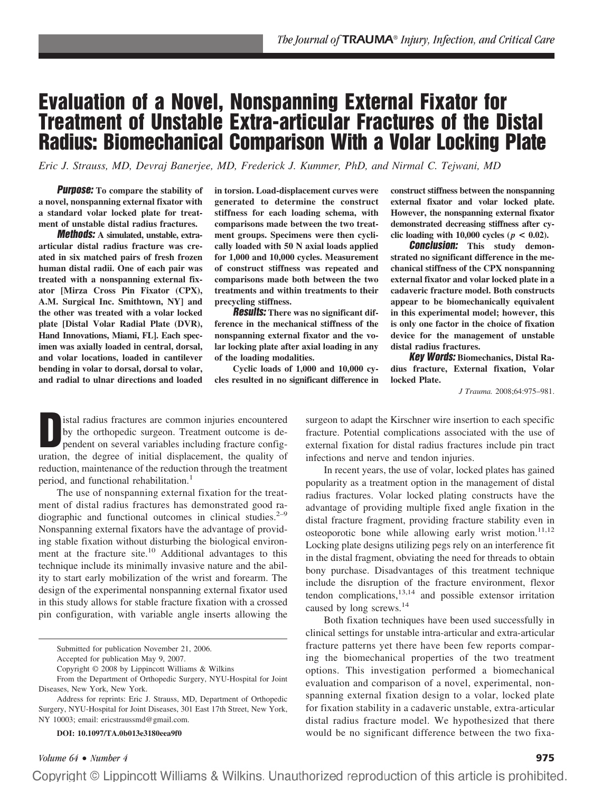# **Evaluation of a Novel, Nonspanning External Fixator for Treatment of Unstable Extra-articular Fractures of the Distal Radius: Biomechanical Comparison With a Volar Locking Plate**

*Eric J. Strauss, MD, Devraj Banerjee, MD, Frederick J. Kummer, PhD, and Nirmal C. Tejwani, MD*

**Purpose: To compare the stability of a novel, nonspanning external fixator with a standard volar locked plate for treatment of unstable distal radius fractures.**

**Methods: A simulated, unstable, extraarticular distal radius fracture was created in six matched pairs of fresh frozen human distal radii. One of each pair was treated with a nonspanning external fixator [Mirza Cross Pin Fixator (CPX), A.M. Surgical Inc. Smithtown, NY] and the other was treated with a volar locked plate [Distal Volar Radial Plate (DVR), Hand Innovations, Miami, FL]. Each specimen was axially loaded in central, dorsal, and volar locations, loaded in cantilever bending in volar to dorsal, dorsal to volar, and radial to ulnar directions and loaded** **in torsion. Load-displacement curves were generated to determine the construct stiffness for each loading schema, with comparisons made between the two treatment groups. Specimens were then cyclically loaded with 50 N axial loads applied for 1,000 and 10,000 cycles. Measurement of construct stiffness was repeated and comparisons made both between the two treatments and within treatments to their precycling stiffness.**

**Results: There was no significant difference in the mechanical stiffness of the nonspanning external fixator and the volar locking plate after axial loading in any of the loading modalities.**

**Cyclic loads of 1,000 and 10,000 cycles resulted in no significant difference in** **construct stiffness between the nonspanning external fixator and volar locked plate. However, the nonspanning external fixator demonstrated decreasing stiffness after cy**clic loading with  $10,000$  cycles ( $p < 0.02$ ).

**Conclusion: This study demonstrated no significant difference in the mechanical stiffness of the CPX nonspanning external fixator and volar locked plate in a cadaveric fracture model. Both constructs appear to be biomechanically equivalent in this experimental model; however, this is only one factor in the choice of fixation device for the management of unstable distal radius fractures.**

**Key Words: Biomechanics, Distal Radius fracture, External fixation, Volar locked Plate.**

*J Trauma.* 2008;64:975–981.

**D** istal radius fractures are common injuries encountered by the orthopedic surgeon. Treatment outcome is dependent on several variables including fracture configuration, the degree of initial displacement, the quality of reduction, maintenance of the reduction through the treatment period, and functional rehabilitation.<sup>1</sup>

The use of nonspanning external fixation for the treatment of distal radius fractures has demonstrated good radiographic and functional outcomes in clinical studies. $2-9$ Nonspanning external fixators have the advantage of providing stable fixation without disturbing the biological environment at the fracture site.<sup>10</sup> Additional advantages to this technique include its minimally invasive nature and the ability to start early mobilization of the wrist and forearm. The design of the experimental nonspanning external fixator used in this study allows for stable fracture fixation with a crossed pin configuration, with variable angle inserts allowing the

From the Department of Orthopedic Surgery, NYU-Hospital for Joint Diseases, New York, New York.

**DOI: 10.1097/TA.0b013e3180eea9f0**

surgeon to adapt the Kirschner wire insertion to each specific fracture. Potential complications associated with the use of external fixation for distal radius fractures include pin tract infections and nerve and tendon injuries.

In recent years, the use of volar, locked plates has gained popularity as a treatment option in the management of distal radius fractures. Volar locked plating constructs have the advantage of providing multiple fixed angle fixation in the distal fracture fragment, providing fracture stability even in osteoporotic bone while allowing early wrist motion.<sup>11,12</sup> Locking plate designs utilizing pegs rely on an interference fit in the distal fragment, obviating the need for threads to obtain bony purchase. Disadvantages of this treatment technique include the disruption of the fracture environment, flexor tendon complications, $13,14$  and possible extensor irritation caused by long screws.<sup>14</sup>

Both fixation techniques have been used successfully in clinical settings for unstable intra-articular and extra-articular fracture patterns yet there have been few reports comparing the biomechanical properties of the two treatment options. This investigation performed a biomechanical evaluation and comparison of a novel, experimental, nonspanning external fixation design to a volar, locked plate for fixation stability in a cadaveric unstable, extra-articular distal radius fracture model. We hypothesized that there would be no significant difference between the two fixa-

Submitted for publication November 21, 2006.

Accepted for publication May 9, 2007.

Copyright © 2008 by Lippincott Williams & Wilkins

Address for reprints: Eric J. Strauss, MD, Department of Orthopedic Surgery, NYU-Hospital for Joint Diseases, 301 East 17th Street, New York, NY 10003; email: ericstraussmd@gmail.com.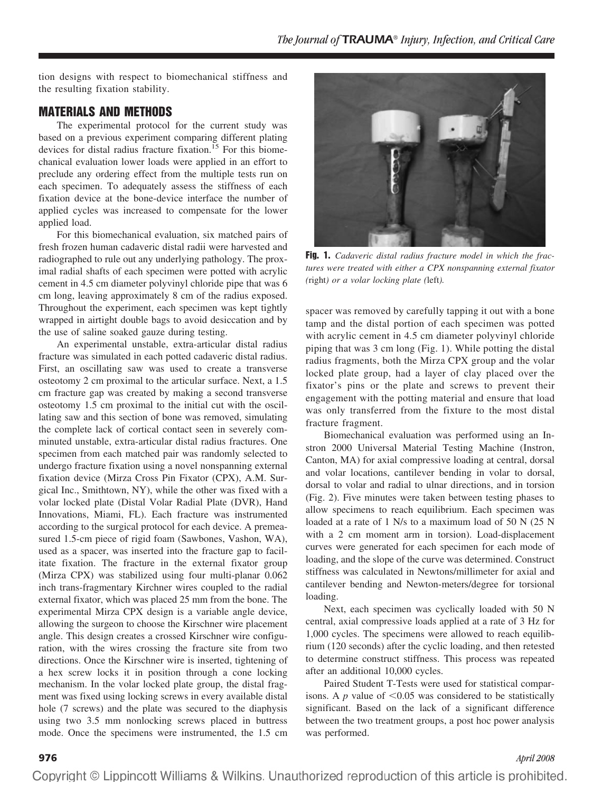tion designs with respect to biomechanical stiffness and the resulting fixation stability.

# **MATERIALS AND METHODS**

The experimental protocol for the current study was based on a previous experiment comparing different plating devices for distal radius fracture fixation.<sup>15</sup> For this biomechanical evaluation lower loads were applied in an effort to preclude any ordering effect from the multiple tests run on each specimen. To adequately assess the stiffness of each fixation device at the bone-device interface the number of applied cycles was increased to compensate for the lower applied load.

For this biomechanical evaluation, six matched pairs of fresh frozen human cadaveric distal radii were harvested and radiographed to rule out any underlying pathology. The proximal radial shafts of each specimen were potted with acrylic cement in 4.5 cm diameter polyvinyl chloride pipe that was 6 cm long, leaving approximately 8 cm of the radius exposed. Throughout the experiment, each specimen was kept tightly wrapped in airtight double bags to avoid desiccation and by the use of saline soaked gauze during testing.

An experimental unstable, extra-articular distal radius fracture was simulated in each potted cadaveric distal radius. First, an oscillating saw was used to create a transverse osteotomy 2 cm proximal to the articular surface. Next, a 1.5 cm fracture gap was created by making a second transverse osteotomy 1.5 cm proximal to the initial cut with the oscillating saw and this section of bone was removed, simulating the complete lack of cortical contact seen in severely comminuted unstable, extra-articular distal radius fractures. One specimen from each matched pair was randomly selected to undergo fracture fixation using a novel nonspanning external fixation device (Mirza Cross Pin Fixator (CPX), A.M. Surgical Inc., Smithtown, NY), while the other was fixed with a volar locked plate (Distal Volar Radial Plate (DVR), Hand Innovations, Miami, FL). Each fracture was instrumented according to the surgical protocol for each device. A premeasured 1.5-cm piece of rigid foam (Sawbones, Vashon, WA), used as a spacer, was inserted into the fracture gap to facilitate fixation. The fracture in the external fixator group (Mirza CPX) was stabilized using four multi-planar 0.062 inch trans-fragmentary Kirchner wires coupled to the radial external fixator, which was placed 25 mm from the bone. The experimental Mirza CPX design is a variable angle device, allowing the surgeon to choose the Kirschner wire placement angle. This design creates a crossed Kirschner wire configuration, with the wires crossing the fracture site from two directions. Once the Kirschner wire is inserted, tightening of a hex screw locks it in position through a cone locking mechanism. In the volar locked plate group, the distal fragment was fixed using locking screws in every available distal hole (7 screws) and the plate was secured to the diaphysis using two 3.5 mm nonlocking screws placed in buttress mode. Once the specimens were instrumented, the 1.5 cm



**Fig. 1.** *Cadaveric distal radius fracture model in which the fractures were treated with either a CPX nonspanning external fixator (*right*) or a volar locking plate (*left*).*

spacer was removed by carefully tapping it out with a bone tamp and the distal portion of each specimen was potted with acrylic cement in 4.5 cm diameter polyvinyl chloride piping that was 3 cm long (Fig. 1). While potting the distal radius fragments, both the Mirza CPX group and the volar locked plate group, had a layer of clay placed over the fixator's pins or the plate and screws to prevent their engagement with the potting material and ensure that load was only transferred from the fixture to the most distal fracture fragment.

Biomechanical evaluation was performed using an Instron 2000 Universal Material Testing Machine (Instron, Canton, MA) for axial compressive loading at central, dorsal and volar locations, cantilever bending in volar to dorsal, dorsal to volar and radial to ulnar directions, and in torsion (Fig. 2). Five minutes were taken between testing phases to allow specimens to reach equilibrium. Each specimen was loaded at a rate of 1 N/s to a maximum load of 50 N (25 N with a 2 cm moment arm in torsion). Load-displacement curves were generated for each specimen for each mode of loading, and the slope of the curve was determined. Construct stiffness was calculated in Newtons/millimeter for axial and cantilever bending and Newton-meters/degree for torsional loading.

Next, each specimen was cyclically loaded with 50 N central, axial compressive loads applied at a rate of 3 Hz for 1,000 cycles. The specimens were allowed to reach equilibrium (120 seconds) after the cyclic loading, and then retested to determine construct stiffness. This process was repeated after an additional 10,000 cycles.

Paired Student T-Tests were used for statistical comparisons. A  $p$  value of  $\leq 0.05$  was considered to be statistically significant. Based on the lack of a significant difference between the two treatment groups, a post hoc power analysis was performed.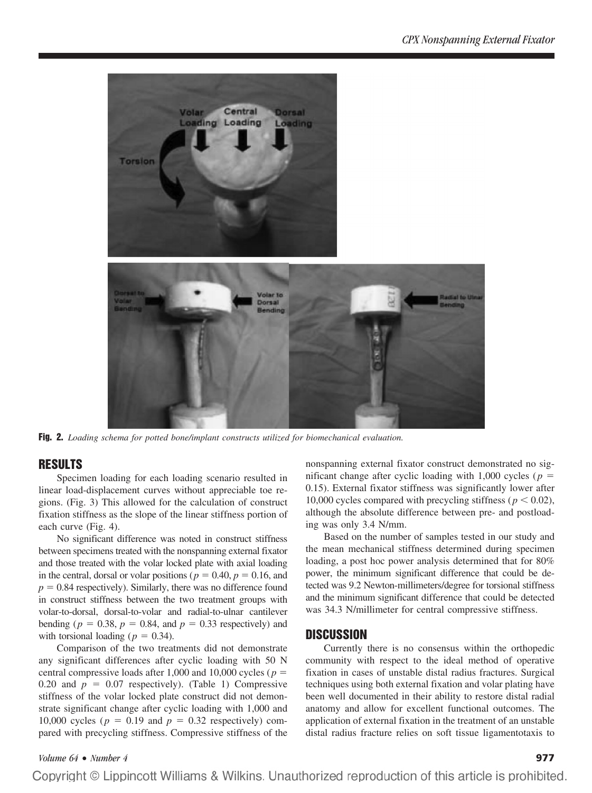

**Fig. 2.** *Loading schema for potted bone/implant constructs utilized for biomechanical evaluation.*

# **RESULTS**

Specimen loading for each loading scenario resulted in linear load-displacement curves without appreciable toe regions. (Fig. 3) This allowed for the calculation of construct fixation stiffness as the slope of the linear stiffness portion of each curve (Fig. 4).

No significant difference was noted in construct stiffness between specimens treated with the nonspanning external fixator and those treated with the volar locked plate with axial loading in the central, dorsal or volar positions ( $p = 0.40$ ,  $p = 0.16$ , and  $p = 0.84$  respectively). Similarly, there was no difference found in construct stiffness between the two treatment groups with volar-to-dorsal, dorsal-to-volar and radial-to-ulnar cantilever bending ( $p = 0.38$ ,  $p = 0.84$ , and  $p = 0.33$  respectively) and with torsional loading ( $p = 0.34$ ).

Comparison of the two treatments did not demonstrate any significant differences after cyclic loading with 50 N central compressive loads after 1,000 and 10,000 cycles ( $p =$ 0.20 and  $p = 0.07$  respectively). (Table 1) Compressive stiffness of the volar locked plate construct did not demonstrate significant change after cyclic loading with 1,000 and 10,000 cycles ( $p = 0.19$  and  $p = 0.32$  respectively) compared with precycling stiffness. Compressive stiffness of the nonspanning external fixator construct demonstrated no significant change after cyclic loading with 1,000 cycles ( $p =$ 0.15). External fixator stiffness was significantly lower after 10,000 cycles compared with precycling stiffness ( $p < 0.02$ ), although the absolute difference between pre- and postloading was only 3.4 N/mm.

Based on the number of samples tested in our study and the mean mechanical stiffness determined during specimen loading, a post hoc power analysis determined that for 80% power, the minimum significant difference that could be detected was 9.2 Newton-millimeters/degree for torsional stiffness and the minimum significant difference that could be detected was 34.3 N/millimeter for central compressive stiffness.

# **DISCUSSION**

Currently there is no consensus within the orthopedic community with respect to the ideal method of operative fixation in cases of unstable distal radius fractures. Surgical techniques using both external fixation and volar plating have been well documented in their ability to restore distal radial anatomy and allow for excellent functional outcomes. The application of external fixation in the treatment of an unstable distal radius fracture relies on soft tissue ligamentotaxis to

### *Volume 64* • *Number 4* **977**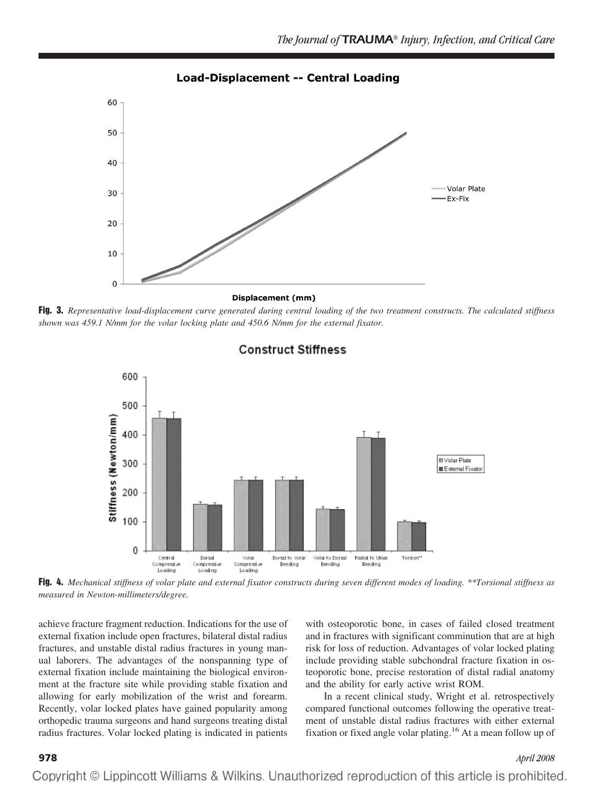

**Load-Displacement -- Central Loading** 

**Displacement (mm)** 

**Fig. 3.** *Representative load-displacement curve generated during central loading of the two treatment constructs. The calculated stiffness shown was 459.1 N/mm for the volar locking plate and 450.6 N/mm for the external fixator.*



# **Construct Stiffness**

**Fig. 4.** *Mechanical stiffness of volar plate and external fixator constructs during seven different modes of loading. \*\*Torsional stiffness as measured in Newton-millimeters/degree.*

achieve fracture fragment reduction. Indications for the use of external fixation include open fractures, bilateral distal radius fractures, and unstable distal radius fractures in young manual laborers. The advantages of the nonspanning type of external fixation include maintaining the biological environment at the fracture site while providing stable fixation and allowing for early mobilization of the wrist and forearm. Recently, volar locked plates have gained popularity among orthopedic trauma surgeons and hand surgeons treating distal radius fractures. Volar locked plating is indicated in patients

with osteoporotic bone, in cases of failed closed treatment and in fractures with significant comminution that are at high risk for loss of reduction. Advantages of volar locked plating include providing stable subchondral fracture fixation in osteoporotic bone, precise restoration of distal radial anatomy and the ability for early active wrist ROM.

In a recent clinical study, Wright et al. retrospectively compared functional outcomes following the operative treatment of unstable distal radius fractures with either external fixation or fixed angle volar plating.16 At a mean follow up of

### **978** *April 2008*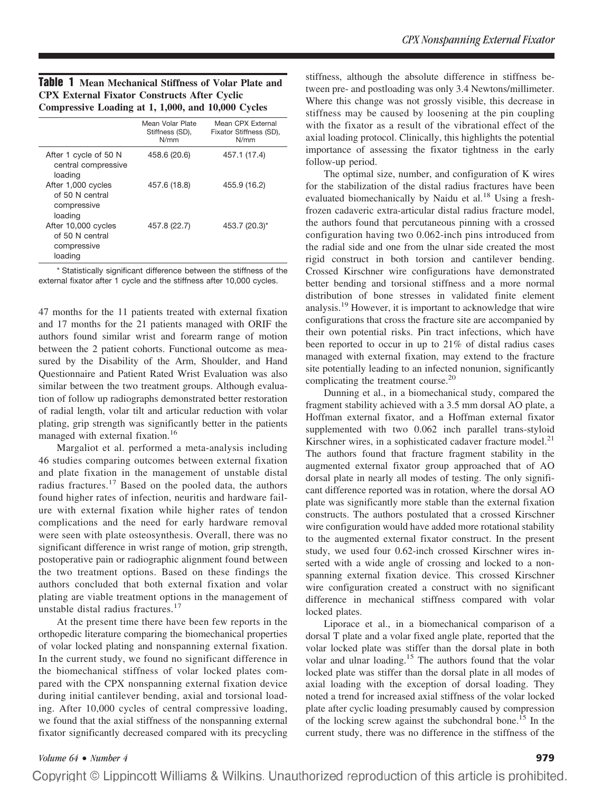| Table 1 Mean Mechanical Stiffness of Volar Plate and |  |  |  |  |
|------------------------------------------------------|--|--|--|--|
| <b>CPX External Fixator Constructs After Cyclic</b>  |  |  |  |  |
| Compressive Loading at 1, 1,000, and 10,000 Cycles   |  |  |  |  |

|                                                                  | Mean Volar Plate<br>Stiffness (SD),<br>N/mm | Mean CPX External<br>Fixator Stiffness (SD),<br>N/mm |
|------------------------------------------------------------------|---------------------------------------------|------------------------------------------------------|
| After 1 cycle of 50 N<br>central compressive<br>loading          | 458.6 (20.6)                                | 457.1 (17.4)                                         |
| After 1,000 cycles<br>of 50 N central<br>compressive<br>loading  | 457.6 (18.8)                                | 455.9 (16.2)                                         |
| After 10,000 cycles<br>of 50 N central<br>compressive<br>loading | 457.8 (22.7)                                | 453.7 (20.3)*                                        |
|                                                                  |                                             |                                                      |

\* Statistically significant difference between the stiffness of the external fixator after 1 cycle and the stiffness after 10,000 cycles.

47 months for the 11 patients treated with external fixation and 17 months for the 21 patients managed with ORIF the authors found similar wrist and forearm range of motion between the 2 patient cohorts. Functional outcome as measured by the Disability of the Arm, Shoulder, and Hand Questionnaire and Patient Rated Wrist Evaluation was also similar between the two treatment groups. Although evaluation of follow up radiographs demonstrated better restoration of radial length, volar tilt and articular reduction with volar plating, grip strength was significantly better in the patients managed with external fixation.<sup>16</sup>

Margaliot et al. performed a meta-analysis including 46 studies comparing outcomes between external fixation and plate fixation in the management of unstable distal radius fractures.<sup>17</sup> Based on the pooled data, the authors found higher rates of infection, neuritis and hardware failure with external fixation while higher rates of tendon complications and the need for early hardware removal were seen with plate osteosynthesis. Overall, there was no significant difference in wrist range of motion, grip strength, postoperative pain or radiographic alignment found between the two treatment options. Based on these findings the authors concluded that both external fixation and volar plating are viable treatment options in the management of unstable distal radius fractures.<sup>17</sup>

At the present time there have been few reports in the orthopedic literature comparing the biomechanical properties of volar locked plating and nonspanning external fixation. In the current study, we found no significant difference in the biomechanical stiffness of volar locked plates compared with the CPX nonspanning external fixation device during initial cantilever bending, axial and torsional loading. After 10,000 cycles of central compressive loading, we found that the axial stiffness of the nonspanning external fixator significantly decreased compared with its precycling stiffness, although the absolute difference in stiffness between pre- and postloading was only 3.4 Newtons/millimeter. Where this change was not grossly visible, this decrease in stiffness may be caused by loosening at the pin coupling with the fixator as a result of the vibrational effect of the axial loading protocol. Clinically, this highlights the potential importance of assessing the fixator tightness in the early follow-up period.

The optimal size, number, and configuration of K wires for the stabilization of the distal radius fractures have been evaluated biomechanically by Naidu et al.<sup>18</sup> Using a freshfrozen cadaveric extra-articular distal radius fracture model, the authors found that percutaneous pinning with a crossed configuration having two 0.062-inch pins introduced from the radial side and one from the ulnar side created the most rigid construct in both torsion and cantilever bending. Crossed Kirschner wire configurations have demonstrated better bending and torsional stiffness and a more normal distribution of bone stresses in validated finite element analysis.19 However, it is important to acknowledge that wire configurations that cross the fracture site are accompanied by their own potential risks. Pin tract infections, which have been reported to occur in up to 21% of distal radius cases managed with external fixation, may extend to the fracture site potentially leading to an infected nonunion, significantly complicating the treatment course.<sup>20</sup>

Dunning et al., in a biomechanical study, compared the fragment stability achieved with a 3.5 mm dorsal AO plate, a Hoffman external fixator, and a Hoffman external fixator supplemented with two 0.062 inch parallel trans-styloid Kirschner wires, in a sophisticated cadaver fracture model.<sup>21</sup> The authors found that fracture fragment stability in the augmented external fixator group approached that of AO dorsal plate in nearly all modes of testing. The only significant difference reported was in rotation, where the dorsal AO plate was significantly more stable than the external fixation constructs. The authors postulated that a crossed Kirschner wire configuration would have added more rotational stability to the augmented external fixator construct. In the present study, we used four 0.62-inch crossed Kirschner wires inserted with a wide angle of crossing and locked to a nonspanning external fixation device. This crossed Kirschner wire configuration created a construct with no significant difference in mechanical stiffness compared with volar locked plates.

Liporace et al., in a biomechanical comparison of a dorsal T plate and a volar fixed angle plate, reported that the volar locked plate was stiffer than the dorsal plate in both volar and ulnar loading.<sup>15</sup> The authors found that the volar locked plate was stiffer than the dorsal plate in all modes of axial loading with the exception of dorsal loading. They noted a trend for increased axial stiffness of the volar locked plate after cyclic loading presumably caused by compression of the locking screw against the subchondral bone.<sup>15</sup> In the current study, there was no difference in the stiffness of the

*Volume 64* • *Number 4* **979**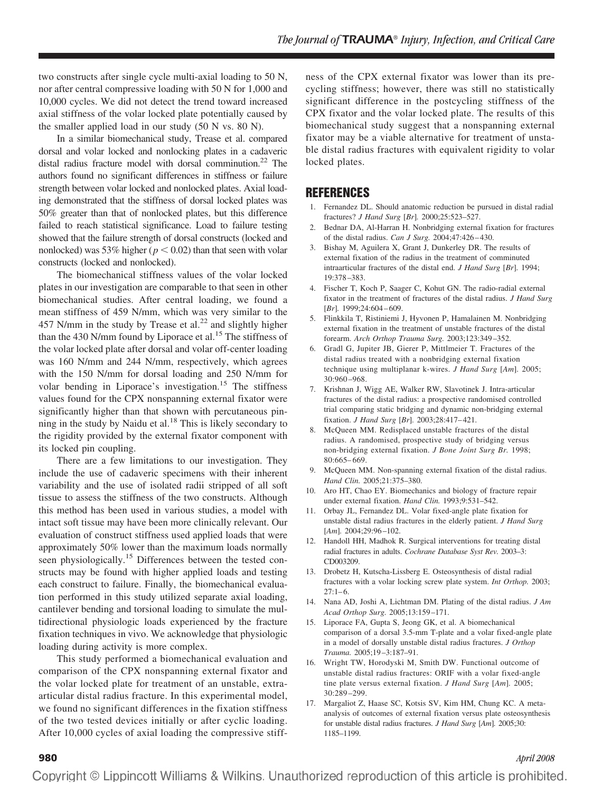two constructs after single cycle multi-axial loading to 50 N, nor after central compressive loading with 50 N for 1,000 and 10,000 cycles. We did not detect the trend toward increased axial stiffness of the volar locked plate potentially caused by the smaller applied load in our study (50 N vs. 80 N).

In a similar biomechanical study, Trease et al. compared dorsal and volar locked and nonlocking plates in a cadaveric distal radius fracture model with dorsal comminution.<sup>22</sup> The authors found no significant differences in stiffness or failure strength between volar locked and nonlocked plates. Axial loading demonstrated that the stiffness of dorsal locked plates was 50% greater than that of nonlocked plates, but this difference failed to reach statistical significance. Load to failure testing showed that the failure strength of dorsal constructs (locked and nonlocked) was 53% higher ( $p < 0.02$ ) than that seen with volar constructs (locked and nonlocked).

The biomechanical stiffness values of the volar locked plates in our investigation are comparable to that seen in other biomechanical studies. After central loading, we found a mean stiffness of 459 N/mm, which was very similar to the 457 N/mm in the study by Trease et al.<sup>22</sup> and slightly higher than the 430 N/mm found by Liporace et al.<sup>15</sup> The stiffness of the volar locked plate after dorsal and volar off-center loading was 160 N/mm and 244 N/mm, respectively, which agrees with the 150 N/mm for dorsal loading and 250 N/mm for volar bending in Liporace's investigation.<sup>15</sup> The stiffness values found for the CPX nonspanning external fixator were significantly higher than that shown with percutaneous pinning in the study by Naidu et al. $18$  This is likely secondary to the rigidity provided by the external fixator component with its locked pin coupling.

There are a few limitations to our investigation. They include the use of cadaveric specimens with their inherent variability and the use of isolated radii stripped of all soft tissue to assess the stiffness of the two constructs. Although this method has been used in various studies, a model with intact soft tissue may have been more clinically relevant. Our evaluation of construct stiffness used applied loads that were approximately 50% lower than the maximum loads normally seen physiologically.<sup>15</sup> Differences between the tested constructs may be found with higher applied loads and testing each construct to failure. Finally, the biomechanical evaluation performed in this study utilized separate axial loading, cantilever bending and torsional loading to simulate the multidirectional physiologic loads experienced by the fracture fixation techniques in vivo. We acknowledge that physiologic loading during activity is more complex.

This study performed a biomechanical evaluation and comparison of the CPX nonspanning external fixator and the volar locked plate for treatment of an unstable, extraarticular distal radius fracture. In this experimental model, we found no significant differences in the fixation stiffness of the two tested devices initially or after cyclic loading. After 10,000 cycles of axial loading the compressive stiffness of the CPX external fixator was lower than its precycling stiffness; however, there was still no statistically significant difference in the postcycling stiffness of the CPX fixator and the volar locked plate. The results of this biomechanical study suggest that a nonspanning external fixator may be a viable alternative for treatment of unstable distal radius fractures with equivalent rigidity to volar locked plates.

# **REFERENCES**

- 1. Fernandez DL. Should anatomic reduction be pursued in distal radial fractures? *J Hand Surg* [*Br*]*.* 2000;25:523–527.
- 2. Bednar DA, Al-Harran H. Nonbridging external fixation for fractures of the distal radius. *Can J Surg.* 2004;47:426 – 430.
- 3. Bishay M, Aguilera X, Grant J, Dunkerley DR. The results of external fixation of the radius in the treatment of comminuted intraarticular fractures of the distal end. *J Hand Surg* [*Br*]*.* 1994; 19:378 –383.
- 4. Fischer T, Koch P, Saager C, Kohut GN. The radio-radial external fixator in the treatment of fractures of the distal radius. *J Hand Surg* [Br]. 1999;24:604-609.
- 5. Flinkkila T, Ristiniemi J, Hyvonen P, Hamalainen M. Nonbridging external fixation in the treatment of unstable fractures of the distal forearm. *Arch Orthop Trauma Surg.* 2003;123:349 –352.
- 6. Gradl G, Jupiter JB, Gierer P, Mittlmeier T. Fractures of the distal radius treated with a nonbridging external fixation technique using multiplanar k-wires. *J Hand Surg* [*Am*]*.* 2005; 30:960 –968.
- 7. Krishnan J, Wigg AE, Walker RW, Slavotinek J. Intra-articular fractures of the distal radius: a prospective randomised controlled trial comparing static bridging and dynamic non-bridging external fixation. *J Hand Surg* [*Br*]*.* 2003;28:417– 421.
- 8. McQueen MM. Redisplaced unstable fractures of the distal radius. A randomised, prospective study of bridging versus non-bridging external fixation. *J Bone Joint Surg Br.* 1998; 80:665– 669.
- 9. McQueen MM. Non-spanning external fixation of the distal radius. *Hand Clin.* 2005;21:375–380.
- 10. Aro HT, Chao EY. Biomechanics and biology of fracture repair under external fixation. *Hand Clin.* 1993;9:531–542.
- 11. Orbay JL, Fernandez DL. Volar fixed-angle plate fixation for unstable distal radius fractures in the elderly patient. *J Hand Surg* [Am]. 2004;29:96-102.
- 12. Handoll HH, Madhok R. Surgical interventions for treating distal radial fractures in adults. *Cochrane Database Syst Rev.* 2003–3: CD003209.
- 13. Drobetz H, Kutscha-Lissberg E. Osteosynthesis of distal radial fractures with a volar locking screw plate system. *Int Orthop.* 2003;  $27:1-6$ .
- 14. Nana AD, Joshi A, Lichtman DM. Plating of the distal radius. *J Am Acad Orthop Surg.* 2005;13:159 –171.
- 15. Liporace FA, Gupta S, Jeong GK, et al. A biomechanical comparison of a dorsal 3.5-mm T-plate and a volar fixed-angle plate in a model of dorsally unstable distal radius fractures. *J Orthop Trauma.* 2005;19 –3:187–91.
- 16. Wright TW, Horodyski M, Smith DW. Functional outcome of unstable distal radius fractures: ORIF with a volar fixed-angle tine plate versus external fixation. *J Hand Surg* [*Am*]*.* 2005; 30:289 –299.
- 17. Margaliot Z, Haase SC, Kotsis SV, Kim HM, Chung KC. A metaanalysis of outcomes of external fixation versus plate osteosynthesis for unstable distal radius fractures. *J Hand Surg* [*Am*]*.* 2005;30: 1185–1199.